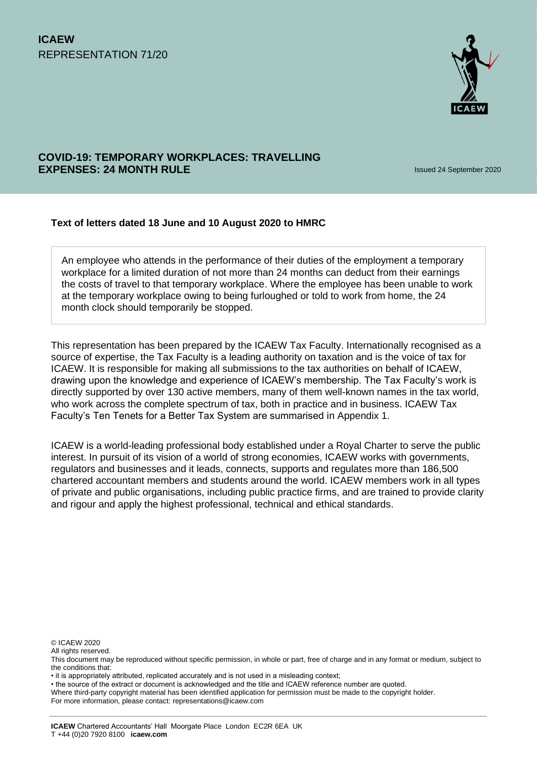

# **COVID-19: TEMPORARY WORKPLACES: TRAVELLING EXPENSES: 24 MONTH RULE Issued 24 September 2020**

### **Text of letters dated 18 June and 10 August 2020 to HMRC**

An employee who attends in the performance of their duties of the employment a temporary workplace for a limited duration of not more than 24 months can deduct from their earnings the costs of travel to that temporary workplace. Where the employee has been unable to work at the temporary workplace owing to being furloughed or told to work from home, the 24 month clock should temporarily be stopped.

This representation has been prepared by the ICAEW Tax Faculty. Internationally recognised as a source of expertise, the Tax Faculty is a leading authority on taxation and is the voice of tax for ICAEW. It is responsible for making all submissions to the tax authorities on behalf of ICAEW, drawing upon the knowledge and experience of ICAEW's membership. The Tax Faculty's work is directly supported by over 130 active members, many of them well-known names in the tax world, who work across the complete spectrum of tax, both in practice and in business. ICAEW Tax Faculty's Ten Tenets for a Better Tax System are summarised in Appendix 1.

ICAEW is a world-leading professional body established under a Royal Charter to serve the public interest. In pursuit of its vision of a world of strong economies, ICAEW works with governments, regulators and businesses and it leads, connects, supports and regulates more than 186,500 chartered accountant members and students around the world. ICAEW members work in all types of private and public organisations, including public practice firms, and are trained to provide clarity and rigour and apply the highest professional, technical and ethical standards.

© ICAEW 2020

All rights reserved

• the source of the extract or document is acknowledged and the title and ICAEW reference number are quoted.

This document may be reproduced without specific permission, in whole or part, free of charge and in any format or medium, subject to the conditions that:

<sup>•</sup> it is appropriately attributed, replicated accurately and is not used in a misleading context;

Where third-party copyright material has been identified application for permission must be made to the copyright holder.

For more information, please contact: representations@icaew.com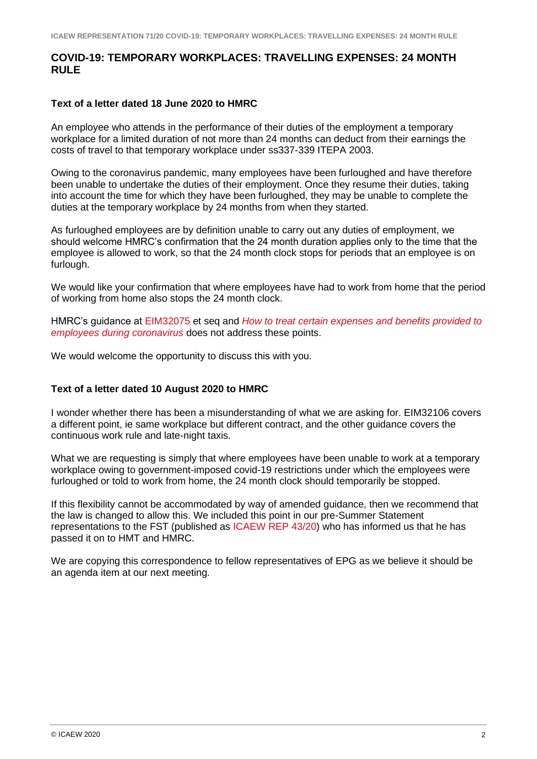## **COVID-19: TEMPORARY WORKPLACES: TRAVELLING EXPENSES: 24 MONTH RULE**

#### **Text of a letter dated 18 June 2020 to HMRC**

An employee who attends in the performance of their duties of the employment a temporary workplace for a limited duration of not more than 24 months can deduct from their earnings the costs of travel to that temporary workplace under ss337-339 ITEPA 2003.

Owing to the coronavirus pandemic, many employees have been furloughed and have therefore been unable to undertake the duties of their employment. Once they resume their duties, taking into account the time for which they have been furloughed, they may be unable to complete the duties at the temporary workplace by 24 months from when they started.

As furloughed employees are by definition unable to carry out any duties of employment, we should welcome HMRC's confirmation that the 24 month duration applies only to the time that the employee is allowed to work, so that the 24 month clock stops for periods that an employee is on furlough.

We would like your confirmation that where employees have had to work from home that the period of working from home also stops the 24 month clock.

HMRC's guidance at [EIM32075](https://www.gov.uk/hmrc-internal-manuals/employment-income-manual/eim32075) et seq and *[How to treat certain expenses and benefits provided to](https://www.gov.uk/guidance/how-to-treat-certain-expenses-and-benefits-provided-to-employees-during-coronavirus-covid-19)  [employees during coronavirus](https://www.gov.uk/guidance/how-to-treat-certain-expenses-and-benefits-provided-to-employees-during-coronavirus-covid-19)* does not address these points.

We would welcome the opportunity to discuss this with you.

#### **Text of a letter dated 10 August 2020 to HMRC**

I wonder whether there has been a misunderstanding of what we are asking for. EIM32106 covers a different point, ie same workplace but different contract, and the other guidance covers the continuous work rule and late-night taxis.

What we are requesting is simply that where employees have been unable to work at a temporary workplace owing to government-imposed covid-19 restrictions under which the employees were furloughed or told to work from home, the 24 month clock should temporarily be stopped.

If this flexibility cannot be accommodated by way of amended guidance, then we recommend that the law is changed to allow this. We included this point in our pre-Summer Statement representations to the FST (published as [ICAEW REP 43/20\)](https://www.icaew.com/-/media/corporate/files/technical/icaew-representations/2020/icaew-rep-4320-frank-haskew-letter-to-fst.ashx) who has informed us that he has passed it on to HMT and HMRC.

We are copying this correspondence to fellow representatives of EPG as we believe it should be an agenda item at our next meeting.